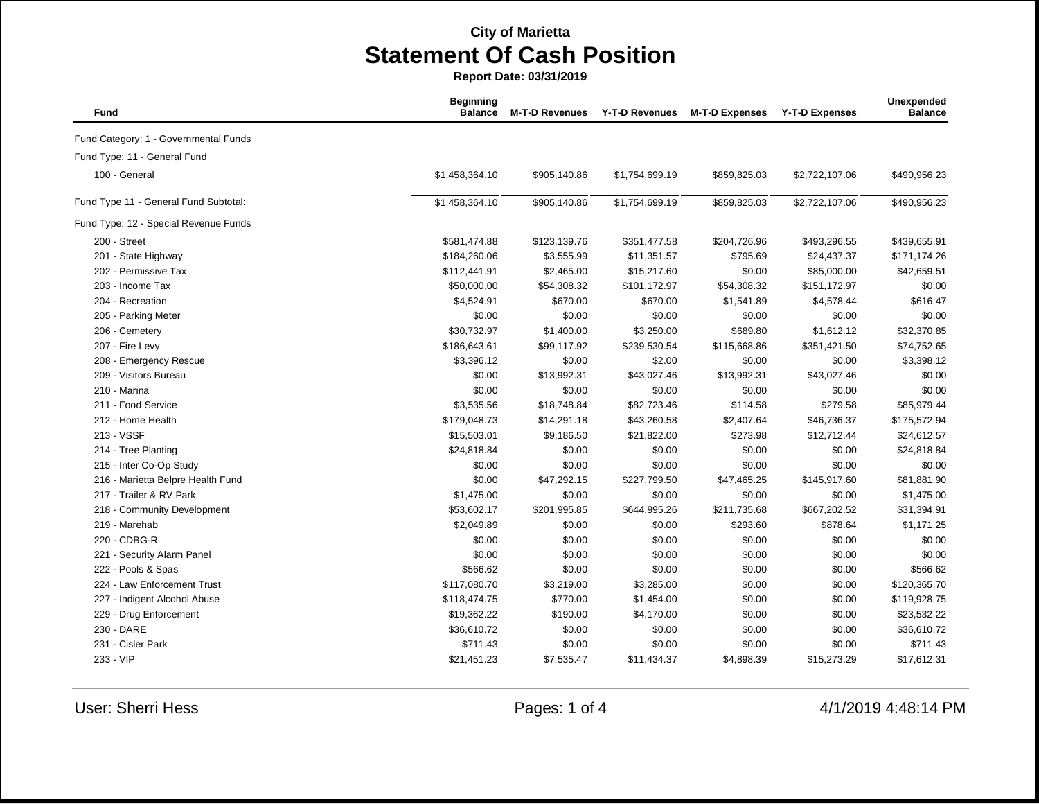| Fund                                  | <b>Beginning</b><br><b>Balance</b> | <b>M-T-D Revenues</b> | <b>Y-T-D Revenues</b> | <b>M-T-D Expenses</b> | <b>Y-T-D Expenses</b> | Unexpended<br><b>Balance</b> |
|---------------------------------------|------------------------------------|-----------------------|-----------------------|-----------------------|-----------------------|------------------------------|
| Fund Category: 1 - Governmental Funds |                                    |                       |                       |                       |                       |                              |
| Fund Type: 11 - General Fund          |                                    |                       |                       |                       |                       |                              |
| 100 - General                         | \$1,458,364.10                     | \$905,140.86          | \$1,754,699.19        | \$859,825.03          | \$2,722,107.06        | \$490,956.23                 |
| Fund Type 11 - General Fund Subtotal: | \$1,458,364.10                     | \$905,140.86          | \$1,754,699.19        | \$859,825.03          | \$2,722,107.06        | \$490,956.23                 |
| Fund Type: 12 - Special Revenue Funds |                                    |                       |                       |                       |                       |                              |
| 200 - Street                          | \$581,474.88                       | \$123,139.76          | \$351,477.58          | \$204,726.96          | \$493,296.55          | \$439,655.91                 |
| 201 - State Highway                   | \$184,260.06                       | \$3,555.99            | \$11,351.57           | \$795.69              | \$24,437.37           | \$171,174.26                 |
| 202 - Permissive Tax                  | \$112,441.91                       | \$2,465.00            | \$15,217.60           | \$0.00                | \$85,000.00           | \$42,659.51                  |
| 203 - Income Tax                      | \$50,000.00                        | \$54,308.32           | \$101,172.97          | \$54,308.32           | \$151,172.97          | \$0.00                       |
| 204 - Recreation                      | \$4,524.91                         | \$670.00              | \$670.00              | \$1,541.89            | \$4,578.44            | \$616.47                     |
| 205 - Parking Meter                   | \$0.00                             | \$0.00                | \$0.00                | \$0.00                | \$0.00                | \$0.00                       |
| 206 - Cemetery                        | \$30,732.97                        | \$1,400.00            | \$3,250.00            | \$689.80              | \$1,612.12            | \$32,370.85                  |
| 207 - Fire Levy                       | \$186,643.61                       | \$99,117.92           | \$239,530.54          | \$115,668.86          | \$351,421.50          | \$74,752.65                  |
| 208 - Emergency Rescue                | \$3,396.12                         | \$0.00                | \$2.00                | \$0.00                | \$0.00                | \$3,398.12                   |
| 209 - Visitors Bureau                 | \$0.00                             | \$13,992.31           | \$43,027.46           | \$13,992.31           | \$43,027.46           | \$0.00                       |
| 210 - Marina                          | \$0.00                             | \$0.00                | \$0.00                | \$0.00                | \$0.00                | \$0.00                       |
| 211 - Food Service                    | \$3,535.56                         | \$18,748.84           | \$82,723.46           | \$114.58              | \$279.58              | \$85,979.44                  |
| 212 - Home Health                     | \$179,048.73                       | \$14,291.18           | \$43,260.58           | \$2,407.64            | \$46,736.37           | \$175,572.94                 |
| 213 - VSSF                            | \$15,503.01                        | \$9,186.50            | \$21,822.00           | \$273.98              | \$12,712.44           | \$24,612.57                  |
| 214 - Tree Planting                   | \$24,818.84                        | \$0.00                | \$0.00                | \$0.00                | \$0.00                | \$24,818.84                  |
| 215 - Inter Co-Op Study               | \$0.00                             | \$0.00                | \$0.00                | \$0.00                | \$0.00                | \$0.00                       |
| 216 - Marietta Belpre Health Fund     | \$0.00                             | \$47,292.15           | \$227,799.50          | \$47,465.25           | \$145,917.60          | \$81,881.90                  |
| 217 - Trailer & RV Park               | \$1,475.00                         | \$0.00                | \$0.00                | \$0.00                | \$0.00                | \$1,475.00                   |
| 218 - Community Development           | \$53,602.17                        | \$201,995.85          | \$644,995.26          | \$211,735.68          | \$667,202.52          | \$31,394.91                  |
| 219 - Marehab                         | \$2,049.89                         | \$0.00                | \$0.00                | \$293.60              | \$878.64              | \$1,171.25                   |
| 220 - CDBG-R                          | \$0.00                             | \$0.00                | \$0.00                | \$0.00                | \$0.00                | \$0.00                       |
| 221 - Security Alarm Panel            | \$0.00                             | \$0.00                | \$0.00                | \$0.00                | \$0.00                | \$0.00                       |
| 222 - Pools & Spas                    | \$566.62                           | \$0.00                | \$0.00                | \$0.00                | \$0.00                | \$566.62                     |
| 224 - Law Enforcement Trust           | \$117,080.70                       | \$3,219.00            | \$3,285.00            | \$0.00                | \$0.00                | \$120,365.70                 |
| 227 - Indigent Alcohol Abuse          | \$118,474.75                       | \$770.00              | \$1,454.00            | \$0.00                | \$0.00                | \$119,928.75                 |
| 229 - Drug Enforcement                | \$19,362.22                        | \$190.00              | \$4,170.00            | \$0.00                | \$0.00                | \$23,532.22                  |
| 230 - DARE                            | \$36,610.72                        | \$0.00                | \$0.00                | \$0.00                | \$0.00                | \$36,610.72                  |
| 231 - Cisler Park                     | \$711.43                           | \$0.00                | \$0.00                | \$0.00                | \$0.00                | \$711.43                     |
| 233 - VIP                             | \$21,451.23                        | \$7,535.47            | \$11,434.37           | \$4,898.39            | \$15,273.29           | \$17,612.31                  |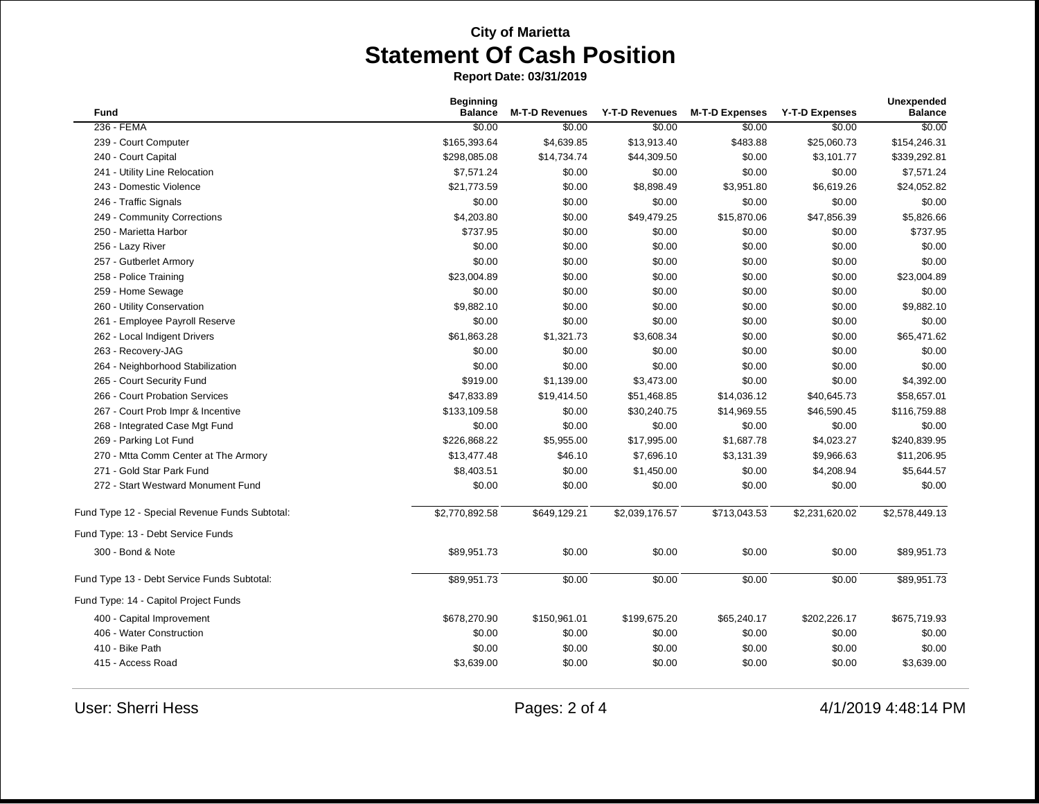| <b>Fund</b>                                    | <b>Beginning</b><br><b>Balance</b> | <b>M-T-D Revenues</b> |                | Y-T-D Revenues M-T-D Expenses | <b>Y-T-D Expenses</b> | Unexpended<br><b>Balance</b> |
|------------------------------------------------|------------------------------------|-----------------------|----------------|-------------------------------|-----------------------|------------------------------|
| 236 - FEMA                                     | \$0.00                             | \$0.00                | \$0.00         | \$0.00                        | \$0.00                | \$0.00                       |
| 239 - Court Computer                           | \$165,393.64                       | \$4,639.85            | \$13,913.40    | \$483.88                      | \$25,060.73           | \$154,246.31                 |
| 240 - Court Capital                            | \$298,085.08                       | \$14,734.74           | \$44,309.50    | \$0.00                        | \$3,101.77            | \$339,292.81                 |
| 241 - Utility Line Relocation                  | \$7,571.24                         | \$0.00                | \$0.00         | \$0.00                        | \$0.00                | \$7,571.24                   |
| 243 - Domestic Violence                        | \$21,773.59                        | \$0.00                | \$8,898.49     | \$3,951.80                    | \$6,619.26            | \$24,052.82                  |
| 246 - Traffic Signals                          | \$0.00                             | \$0.00                | \$0.00         | \$0.00                        | \$0.00                | \$0.00                       |
| 249 - Community Corrections                    | \$4,203.80                         | \$0.00                | \$49,479.25    | \$15,870.06                   | \$47,856.39           | \$5,826.66                   |
| 250 - Marietta Harbor                          | \$737.95                           | \$0.00                | \$0.00         | \$0.00                        | \$0.00                | \$737.95                     |
| 256 - Lazy River                               | \$0.00                             | \$0.00                | \$0.00         | \$0.00                        | \$0.00                | \$0.00                       |
| 257 - Gutberlet Armory                         | \$0.00                             | \$0.00                | \$0.00         | \$0.00                        | \$0.00                | \$0.00                       |
| 258 - Police Training                          | \$23,004.89                        | \$0.00                | \$0.00         | \$0.00                        | \$0.00                | \$23,004.89                  |
| 259 - Home Sewage                              | \$0.00                             | \$0.00                | \$0.00         | \$0.00                        | \$0.00                | \$0.00                       |
| 260 - Utility Conservation                     | \$9,882.10                         | \$0.00                | \$0.00         | \$0.00                        | \$0.00                | \$9,882.10                   |
| 261 - Employee Payroll Reserve                 | \$0.00                             | \$0.00                | \$0.00         | \$0.00                        | \$0.00                | \$0.00                       |
| 262 - Local Indigent Drivers                   | \$61,863.28                        | \$1,321.73            | \$3,608.34     | \$0.00                        | \$0.00                | \$65,471.62                  |
| 263 - Recovery-JAG                             | \$0.00                             | \$0.00                | \$0.00         | \$0.00                        | \$0.00                | \$0.00                       |
| 264 - Neighborhood Stabilization               | \$0.00                             | \$0.00                | \$0.00         | \$0.00                        | \$0.00                | \$0.00                       |
| 265 - Court Security Fund                      | \$919.00                           | \$1,139.00            | \$3,473.00     | \$0.00                        | \$0.00                | \$4,392.00                   |
| 266 - Court Probation Services                 | \$47,833.89                        | \$19,414.50           | \$51,468.85    | \$14,036.12                   | \$40,645.73           | \$58,657.01                  |
| 267 - Court Prob Impr & Incentive              | \$133,109.58                       | \$0.00                | \$30,240.75    | \$14,969.55                   | \$46,590.45           | \$116,759.88                 |
| 268 - Integrated Case Mgt Fund                 | \$0.00                             | \$0.00                | \$0.00         | \$0.00                        | \$0.00                | \$0.00                       |
| 269 - Parking Lot Fund                         | \$226,868.22                       | \$5,955.00            | \$17,995.00    | \$1,687.78                    | \$4,023.27            | \$240,839.95                 |
| 270 - Mtta Comm Center at The Armory           | \$13,477.48                        | \$46.10               | \$7,696.10     | \$3,131.39                    | \$9,966.63            | \$11,206.95                  |
| 271 - Gold Star Park Fund                      | \$8,403.51                         | \$0.00                | \$1,450.00     | \$0.00                        | \$4,208.94            | \$5,644.57                   |
| 272 - Start Westward Monument Fund             | \$0.00                             | \$0.00                | \$0.00         | \$0.00                        | \$0.00                | \$0.00                       |
| Fund Type 12 - Special Revenue Funds Subtotal: | \$2,770,892.58                     | \$649,129.21          | \$2,039,176.57 | \$713,043.53                  | \$2,231,620.02        | \$2,578,449.13               |
| Fund Type: 13 - Debt Service Funds             |                                    |                       |                |                               |                       |                              |
| 300 - Bond & Note                              | \$89,951.73                        | \$0.00                | \$0.00         | \$0.00                        | \$0.00                | \$89,951.73                  |
| Fund Type 13 - Debt Service Funds Subtotal:    | \$89,951.73                        | \$0.00                | \$0.00         | \$0.00                        | \$0.00                | \$89,951.73                  |
| Fund Type: 14 - Capitol Project Funds          |                                    |                       |                |                               |                       |                              |
| 400 - Capital Improvement                      | \$678,270.90                       | \$150,961.01          | \$199,675.20   | \$65,240.17                   | \$202,226.17          | \$675,719.93                 |
| 406 - Water Construction                       | \$0.00                             | \$0.00                | \$0.00         | \$0.00                        | \$0.00                | \$0.00                       |
| 410 - Bike Path                                | \$0.00                             | \$0.00                | \$0.00         | \$0.00                        | \$0.00                | \$0.00                       |
| 415 - Access Road                              | \$3,639.00                         | \$0.00                | \$0.00         | \$0.00                        | \$0.00                | \$3,639.00                   |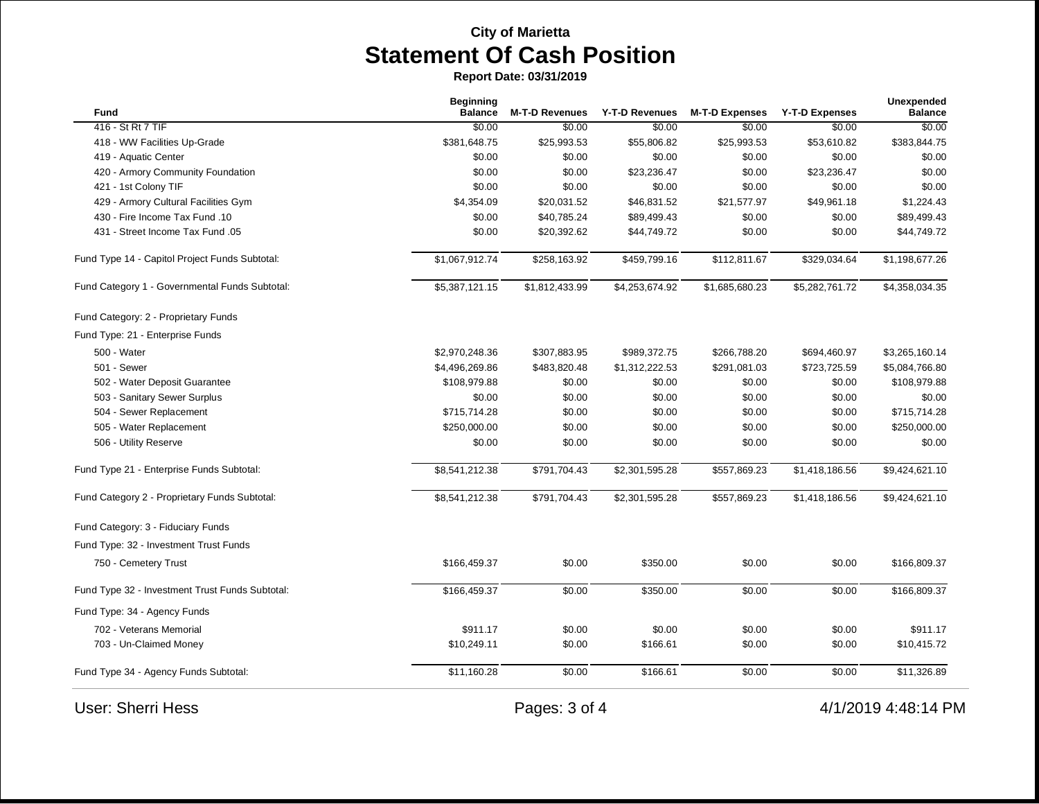| Fund                                            | <b>Beginning</b><br><b>Balance</b> | <b>M-T-D Revenues</b> | Y-T-D Revenues | <b>M-T-D Expenses</b> | <b>Y-T-D Expenses</b> | <b>Unexpended</b><br><b>Balance</b> |
|-------------------------------------------------|------------------------------------|-----------------------|----------------|-----------------------|-----------------------|-------------------------------------|
| 416 - St Rt 7 TIF                               | \$0.00                             | \$0.00                | \$0.00         | \$0.00                | \$0.00                | \$0.00                              |
| 418 - WW Facilities Up-Grade                    | \$381,648.75                       | \$25,993.53           | \$55,806.82    | \$25,993.53           | \$53,610.82           | \$383,844.75                        |
| 419 - Aquatic Center                            | \$0.00                             | \$0.00                | \$0.00         | \$0.00                | \$0.00                | \$0.00                              |
| 420 - Armory Community Foundation               | \$0.00                             | \$0.00                | \$23,236.47    | \$0.00                | \$23,236.47           | \$0.00                              |
| 421 - 1st Colony TIF                            | \$0.00                             | \$0.00                | \$0.00         | \$0.00                | \$0.00                | \$0.00                              |
| 429 - Armory Cultural Facilities Gym            | \$4,354.09                         | \$20,031.52           | \$46,831.52    | \$21,577.97           | \$49,961.18           | \$1,224.43                          |
| 430 - Fire Income Tax Fund .10                  | \$0.00                             | \$40,785.24           | \$89,499.43    | \$0.00                | \$0.00                | \$89,499.43                         |
| 431 - Street Income Tax Fund .05                | \$0.00                             | \$20,392.62           | \$44,749.72    | \$0.00                | \$0.00                | \$44,749.72                         |
| Fund Type 14 - Capitol Project Funds Subtotal:  | \$1,067,912.74                     | \$258,163.92          | \$459,799.16   | \$112,811.67          | \$329,034.64          | \$1,198,677.26                      |
| Fund Category 1 - Governmental Funds Subtotal:  | \$5,387,121.15                     | \$1,812,433.99        | \$4,253,674.92 | \$1,685,680.23        | \$5,282,761.72        | \$4,358,034.35                      |
| Fund Category: 2 - Proprietary Funds            |                                    |                       |                |                       |                       |                                     |
| Fund Type: 21 - Enterprise Funds                |                                    |                       |                |                       |                       |                                     |
| 500 - Water                                     | \$2,970,248.36                     | \$307,883.95          | \$989,372.75   | \$266,788.20          | \$694,460.97          | \$3,265,160.14                      |
| 501 - Sewer                                     | \$4,496,269.86                     | \$483,820.48          | \$1,312,222.53 | \$291,081.03          | \$723,725.59          | \$5,084,766.80                      |
| 502 - Water Deposit Guarantee                   | \$108,979.88                       | \$0.00                | \$0.00         | \$0.00                | \$0.00                | \$108,979.88                        |
| 503 - Sanitary Sewer Surplus                    | \$0.00                             | \$0.00                | \$0.00         | \$0.00                | \$0.00                | \$0.00                              |
| 504 - Sewer Replacement                         | \$715,714.28                       | \$0.00                | \$0.00         | \$0.00                | \$0.00                | \$715,714.28                        |
| 505 - Water Replacement                         | \$250,000.00                       | \$0.00                | \$0.00         | \$0.00                | \$0.00                | \$250,000.00                        |
| 506 - Utility Reserve                           | \$0.00                             | \$0.00                | \$0.00         | \$0.00                | \$0.00                | \$0.00                              |
| Fund Type 21 - Enterprise Funds Subtotal:       | \$8,541,212.38                     | \$791,704.43          | \$2,301,595.28 | \$557,869.23          | \$1,418,186.56        | \$9,424,621.10                      |
| Fund Category 2 - Proprietary Funds Subtotal:   | \$8,541,212.38                     | \$791,704.43          | \$2,301,595.28 | \$557,869.23          | \$1,418,186.56        | \$9,424,621.10                      |
| Fund Category: 3 - Fiduciary Funds              |                                    |                       |                |                       |                       |                                     |
| Fund Type: 32 - Investment Trust Funds          |                                    |                       |                |                       |                       |                                     |
| 750 - Cemetery Trust                            | \$166,459.37                       | \$0.00                | \$350.00       | \$0.00                | \$0.00                | \$166,809.37                        |
| Fund Type 32 - Investment Trust Funds Subtotal: | \$166,459.37                       | \$0.00                | \$350.00       | \$0.00                | \$0.00                | \$166,809.37                        |
| Fund Type: 34 - Agency Funds                    |                                    |                       |                |                       |                       |                                     |
| 702 - Veterans Memorial                         | \$911.17                           | \$0.00                | \$0.00         | \$0.00                | \$0.00                | \$911.17                            |
| 703 - Un-Claimed Money                          | \$10,249.11                        | \$0.00                | \$166.61       | \$0.00                | \$0.00                | \$10,415.72                         |
| Fund Type 34 - Agency Funds Subtotal:           | \$11,160.28                        | \$0.00                | \$166.61       | \$0.00                | \$0.00                | \$11,326.89                         |
| <b>User: Sherri Hess</b>                        |                                    | Pages: 3 of 4         |                |                       |                       | 4/1/2019 4:48:14 PM                 |